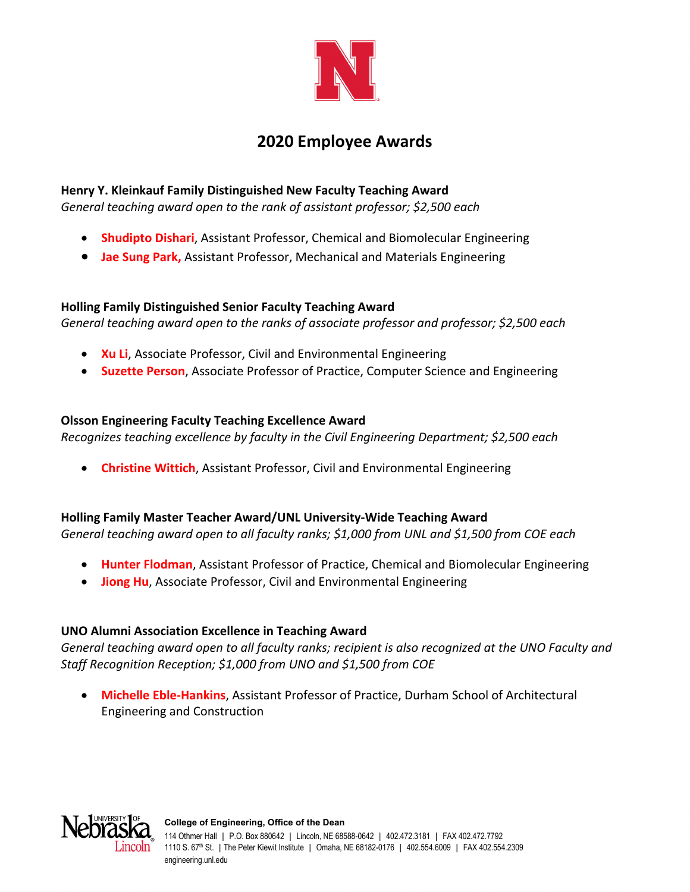

# **2020 Employee Awards**

## **Henry Y. Kleinkauf Family Distinguished New Faculty Teaching Award**

*General teaching award open to the rank of assistant professor; \$2,500 each*

- **Shudipto Dishari**, Assistant Professor, Chemical and Biomolecular Engineering
- **Jae Sung Park,** Assistant Professor, Mechanical and Materials Engineering

## **Holling Family Distinguished Senior Faculty Teaching Award**

*General teaching award open to the ranks of associate professor and professor; \$2,500 each*

- **Ku Li**, Associate Professor, Civil and Environmental Engineering
- **Suzette Person**, Associate Professor of Practice, Computer Science and Engineering

## **Olsson Engineering Faculty Teaching Excellence Award**

*Recognizes teaching excellence by faculty in the Civil Engineering Department; \$2,500 each*

**Christine Wittich**, Assistant Professor, Civil and Environmental Engineering

## **Holling Family Master Teacher Award/UNL University‐Wide Teaching Award**

*General teaching award open to all faculty ranks; \$1,000 from UNL and \$1,500 from COE each*

- **Hunter Flodman**, Assistant Professor of Practice, Chemical and Biomolecular Engineering
- **Jiong Hu**, Associate Professor, Civil and Environmental Engineering

## **UNO Alumni Association Excellence in Teaching Award**

*General teaching award open to all faculty ranks; recipient is also recognized at the UNO Faculty and Staff Recognition Reception; \$1,000 from UNO and \$1,500 from COE*

 **Michelle Eble‐Hankins**, Assistant Professor of Practice, Durham School of Architectural Engineering and Construction

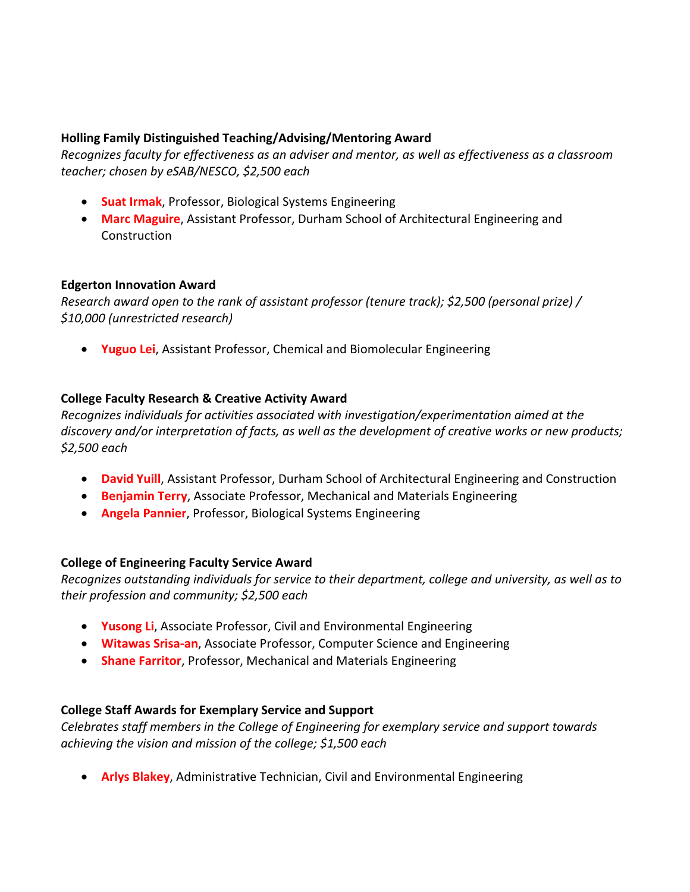### **Holling Family Distinguished Teaching/Advising/Mentoring Award**

*Recognizes faculty for effectiveness as an adviser and mentor, as well as effectiveness as a classroom teacher; chosen by eSAB/NESCO, \$2,500 each*

- **Suat Irmak**, Professor, Biological Systems Engineering
- **Marc Maguire**, Assistant Professor, Durham School of Architectural Engineering and **Construction**

#### **Edgerton Innovation Award**

*Research award open to the rank of assistant professor (tenure track); \$2,500 (personal prize) / \$10,000 (unrestricted research)* 

**Yuguo Lei**, Assistant Professor, Chemical and Biomolecular Engineering

## **College Faculty Research & Creative Activity Award**

*Recognizes individuals for activities associated with investigation/experimentation aimed at the discovery and/or interpretation of facts, as well as the development of creative works or new products; \$2,500 each*

- **David Yuill**, Assistant Professor, Durham School of Architectural Engineering and Construction
- **Benjamin Terry**, Associate Professor, Mechanical and Materials Engineering
- **Angela Pannier**, Professor, Biological Systems Engineering

## **College of Engineering Faculty Service Award**

*Recognizes outstanding individuals for service to their department, college and university, as well as to their profession and community; \$2,500 each*

- **Yusong Li**, Associate Professor, Civil and Environmental Engineering
- **Witawas Srisa‐an**, Associate Professor, Computer Science and Engineering
- **Shane Farritor**, Professor, Mechanical and Materials Engineering

## **College Staff Awards for Exemplary Service and Support**

*Celebrates staff members in the College of Engineering for exemplary service and support towards achieving the vision and mission of the college; \$1,500 each*

**Arlys Blakey**, Administrative Technician, Civil and Environmental Engineering